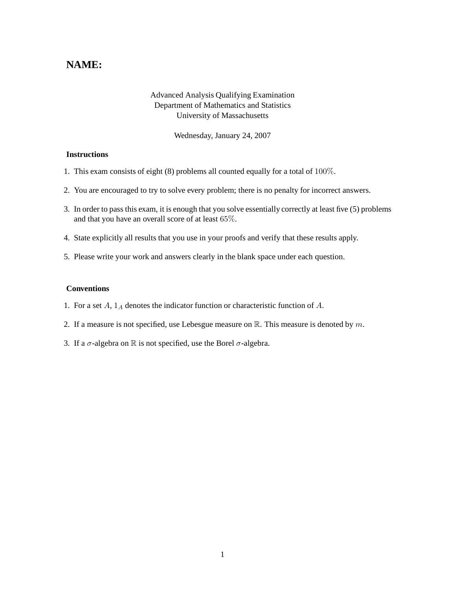## **NAME:**

## Advanced Analysis Qualifying Examination Department of Mathematics and Statistics University of Massachusetts

Wednesday, January 24, 2007

## **Instructions**

- 1. This exam consists of eight (8) problems all counted equally for a total of 100%.
- 2. You are encouraged to try to solve every problem; there is no penalty for incorrect answers.
- 3. In order to pass this exam, it is enough that you solve essentially correctly at least five (5) problems and that you have an overall score of at least 65%.
- 4. State explicitly all results that you use in your proofs and verify that these results apply.
- 5. Please write your work and answers clearly in the blank space under each question.

## **Conventions**

- 1. For a set  $A$ ,  $1_A$  denotes the indicator function or characteristic function of  $A$ .
- 2. If a measure is not specified, use Lebesgue measure on  $\mathbb{R}$ . This measure is denoted by m.
- 3. If a  $\sigma$ -algebra on  $\mathbb R$  is not specified, use the Borel  $\sigma$ -algebra.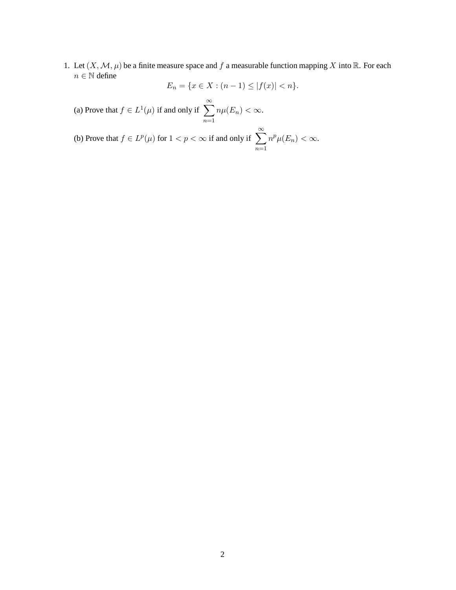1. Let  $(X, \mathcal{M}, \mu)$  be a finite measure space and f a measurable function mapping X into R. For each  $n \in \mathbb{N}$  define

$$
E_n = \{ x \in X : (n-1) \le |f(x)| < n \}.
$$

(a) Prove that  $f \in L^1(\mu)$  if and only if  $\sum_{n=1}^{\infty}$  $n=1$  $n\mu(E_n) < \infty.$ 

(b) Prove that  $f \in L^p(\mu)$  for  $1 < p < \infty$  if and only if  $\sum_{n=1}^{\infty}$  $n=1$  $n^p\mu(E_n) < \infty.$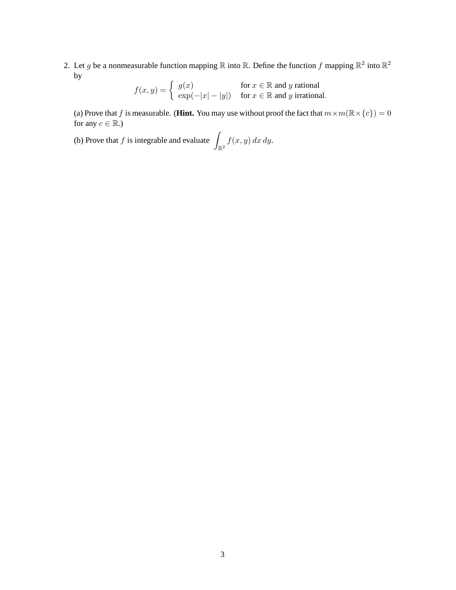2. Let g be a nonmeasurable function mapping R into R. Define the function f mapping  $\mathbb{R}^2$  into  $\mathbb{R}^2$ by

$$
f(x, y) = \begin{cases} g(x) & \text{for } x \in \mathbb{R} \text{ and } y \text{ rational} \\ \exp(-|x| - |y|) & \text{for } x \in \mathbb{R} \text{ and } y \text{ irrational.} \end{cases}
$$

(a) Prove that f is measurable. (**Hint.** You may use without proof the fact that  $m \times m(\mathbb{R} \times \{c\}) = 0$ for any  $c \in \mathbb{R}$ .)

(b) Prove that f is integrable and evaluate  $\int_{\mathbb{R}^2} f(x, y) dx dy$ .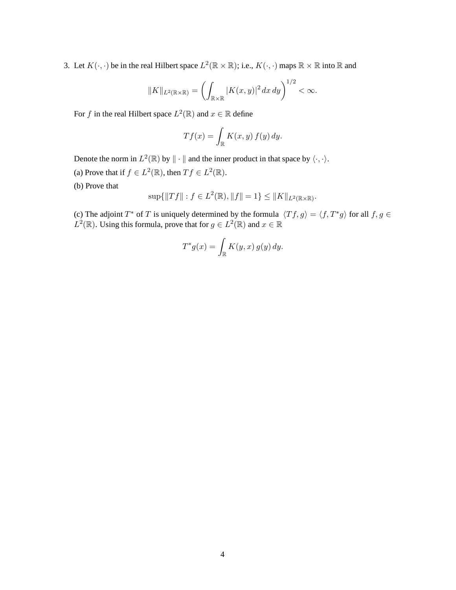3. Let  $K(\cdot, \cdot)$  be in the real Hilbert space  $L^2(\mathbb{R} \times \mathbb{R})$ ; i.e.,  $K(\cdot, \cdot)$  maps  $\mathbb{R} \times \mathbb{R}$  into  $\mathbb{R}$  and

$$
||K||_{L^2(\mathbb{R}\times\mathbb{R})} = \left(\int_{\mathbb{R}\times\mathbb{R}} |K(x,y)|^2 dx dy\right)^{1/2} < \infty.
$$

For f in the real Hilbert space  $L^2(\mathbb{R})$  and  $x \in \mathbb{R}$  define

$$
Tf(x) = \int_{\mathbb{R}} K(x, y) f(y) dy.
$$

Denote the norm in  $L^2(\mathbb{R})$  by  $\|\cdot\|$  and the inner product in that space by  $\langle \cdot, \cdot \rangle$ .

- (a) Prove that if  $f \in L^2(\mathbb{R})$ , then  $Tf \in L^2(\mathbb{R})$ .
- (b) Prove that

$$
\sup\{\|Tf\|:f\in L^2(\mathbb{R}),\|f\|=1\}\leq\|K\|_{L^2(\mathbb{R}\times\mathbb{R})}.
$$

(c) The adjoint T<sup>\*</sup> of T is uniquely determined by the formula  $\langle Tf, g \rangle = \langle f, T^*g \rangle$  for all  $f, g \in$  $L^2(\mathbb{R})$ . Using this formula, prove that for  $g \in L^2(\mathbb{R})$  and  $x \in \mathbb{R}$ 

$$
T^*g(x) = \int_{\mathbb{R}} K(y, x) g(y) dy.
$$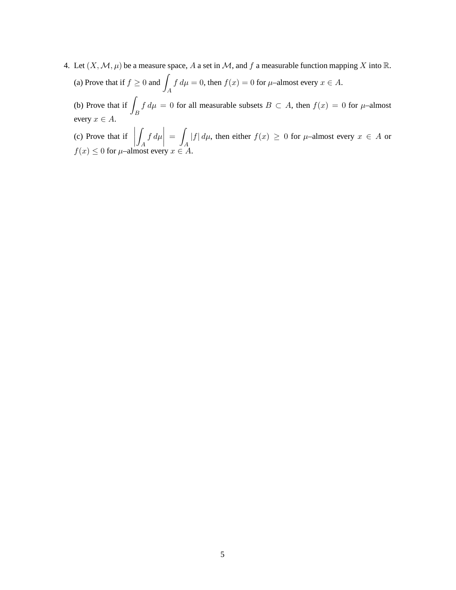- 4. Let  $(X, \mathcal{M}, \mu)$  be a measure space, A a set in M, and f a measurable function mapping X into R.
	- (a) Prove that if  $f \geq 0$  and A  $f d\mu = 0$ , then  $f(x) = 0$  for  $\mu$ –almost every  $x \in A$ .

(b) Prove that if  $\overline{I}$ B  $f d\mu = 0$  for all measurable subsets  $B \subset A$ , then  $f(x) = 0$  for  $\mu$ –almost every  $x \in A$ .

(c) Prove that if  $\begin{bmatrix} 6 & 6 \end{bmatrix}$ Z A  $\left| \int d\mu \right| = \int$ A  $|f| d\mu$ , then either  $f(x) \geq 0$  for  $\mu$ –almost every  $x \in A$  or  $f(x) \leq 0$  for  $\mu$ –almost every  $x \in A$ .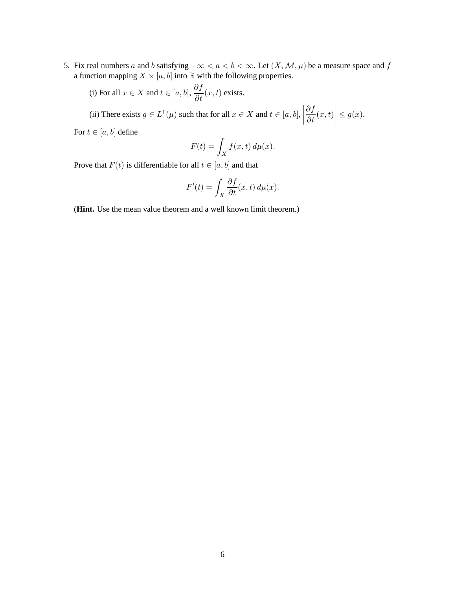5. Fix real numbers a and b satisfying  $-\infty < a < b < \infty$ . Let  $(X, \mathcal{M}, \mu)$  be a measure space and f a function mapping  $X \times [a, b]$  into  $\mathbb R$  with the following properties.

(i) For all  $x \in X$  and  $t \in [a, b]$ ,  $\frac{\partial f}{\partial t}(x, t)$  exists.

(ii) There exists  $g \in L^1(\mu)$  such that for all  $x \in X$  and  $t \in [a, b]$ ,  $\frac{\partial f}{\partial t}(x,t)$  $\leq g(x)$ .

For  $t \in [a, b]$  define

$$
F(t) = \int_X f(x, t) d\mu(x).
$$

Prove that  $F(t)$  is differentiable for all  $t \in [a, b]$  and that

$$
F'(t) = \int_X \frac{\partial f}{\partial t}(x, t) \, d\mu(x).
$$

(**Hint.** Use the mean value theorem and a well known limit theorem.)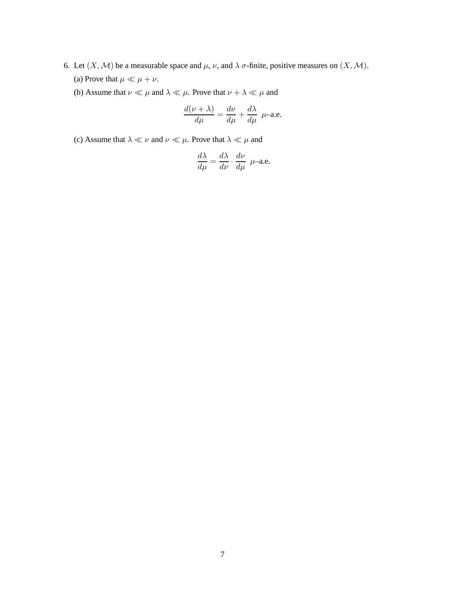- 6. Let  $(X, \mathcal{M})$  be a measurable space and  $\mu$ ,  $\nu$ , and  $\lambda \sigma$ -finite, positive measures on  $(X, \mathcal{M})$ . (a) Prove that  $\mu \ll \mu + \nu$ .
	- (b) Assume that  $\nu \ll \mu$  and  $\lambda \ll \mu$ . Prove that  $\nu + \lambda \ll \mu$  and

$$
\frac{d(\nu + \lambda)}{d\mu} = \frac{d\nu}{d\mu} + \frac{d\lambda}{d\mu} \ \mu
$$
-a.e.

(c) Assume that  $\lambda \ll \nu$  and  $\nu \ll \mu$ . Prove that  $\lambda \ll \mu$  and

$$
\frac{d\lambda}{d\mu} = \frac{d\lambda}{d\nu} \cdot \frac{d\nu}{d\mu} \mu
$$
-a.e.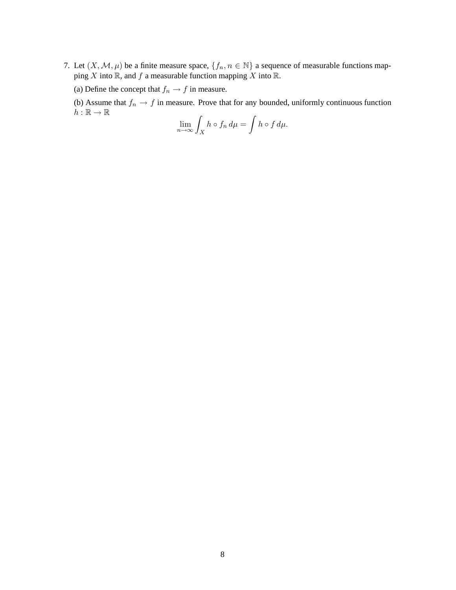7. Let  $(X, \mathcal{M}, \mu)$  be a finite measure space,  $\{f_n, n \in \mathbb{N}\}\$  a sequence of measurable functions mapping  $X$  into  $\mathbb R$ , and  $f$  a measurable function mapping  $X$  into  $\mathbb R$ .

(a) Define the concept that  $f_n \to f$  in measure.

(b) Assume that  $f_n \to f$  in measure. Prove that for any bounded, uniformly continuous function  $h:\mathbb{R}\rightarrow\mathbb{R}$ 

$$
\lim_{n\to\infty}\int_X h\circ f_n\,d\mu=\int h\circ f\,d\mu.
$$